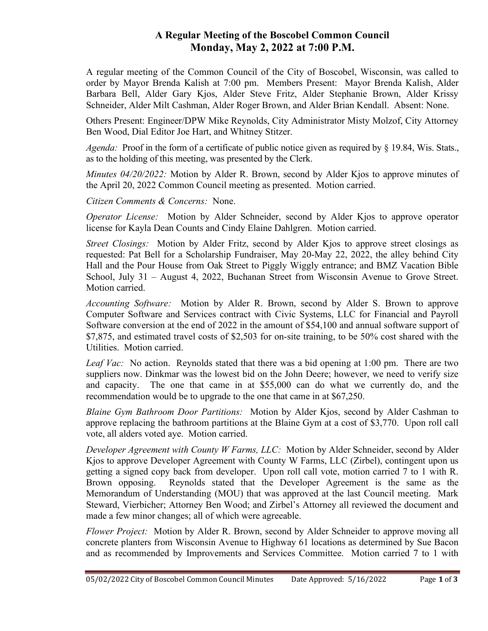## A Regular Meeting of the Boscobel Common Council Monday, May 2, 2022 at 7:00 P.M.

A regular meeting of the Common Council of the City of Boscobel, Wisconsin, was called to order by Mayor Brenda Kalish at 7:00 pm. Members Present: Mayor Brenda Kalish, Alder Barbara Bell, Alder Gary Kjos, Alder Steve Fritz, Alder Stephanie Brown, Alder Krissy Schneider, Alder Milt Cashman, Alder Roger Brown, and Alder Brian Kendall. Absent: None.

Others Present: Engineer/DPW Mike Reynolds, City Administrator Misty Molzof, City Attorney Ben Wood, Dial Editor Joe Hart, and Whitney Stitzer.

Agenda: Proof in the form of a certificate of public notice given as required by § 19.84, Wis. Stats., as to the holding of this meeting, was presented by the Clerk.

*Minutes 04/20/2022:* Motion by Alder R. Brown, second by Alder Kjos to approve minutes of the April 20, 2022 Common Council meeting as presented. Motion carried.

Citizen Comments & Concerns: None.

Operator License: Motion by Alder Schneider, second by Alder Kjos to approve operator license for Kayla Dean Counts and Cindy Elaine Dahlgren. Motion carried.

Street Closings: Motion by Alder Fritz, second by Alder Kjos to approve street closings as requested: Pat Bell for a Scholarship Fundraiser, May 20-May 22, 2022, the alley behind City Hall and the Pour House from Oak Street to Piggly Wiggly entrance; and BMZ Vacation Bible School, July 31 – August 4, 2022, Buchanan Street from Wisconsin Avenue to Grove Street. Motion carried.

Accounting Software: Motion by Alder R. Brown, second by Alder S. Brown to approve Computer Software and Services contract with Civic Systems, LLC for Financial and Payroll Software conversion at the end of 2022 in the amount of \$54,100 and annual software support of \$7,875, and estimated travel costs of \$2,503 for on-site training, to be 50% cost shared with the Utilities. Motion carried.

Leaf Vac: No action. Reynolds stated that there was a bid opening at 1:00 pm. There are two suppliers now. Dinkmar was the lowest bid on the John Deere; however, we need to verify size and capacity. The one that came in at \$55,000 can do what we currently do, and the recommendation would be to upgrade to the one that came in at \$67,250.

Blaine Gym Bathroom Door Partitions: Motion by Alder Kjos, second by Alder Cashman to approve replacing the bathroom partitions at the Blaine Gym at a cost of \$3,770. Upon roll call vote, all alders voted aye. Motion carried.

Developer Agreement with County W Farms, LLC: Motion by Alder Schneider, second by Alder Kjos to approve Developer Agreement with County W Farms, LLC (Zirbel), contingent upon us getting a signed copy back from developer. Upon roll call vote, motion carried 7 to 1 with R. Brown opposing. Reynolds stated that the Developer Agreement is the same as the Memorandum of Understanding (MOU) that was approved at the last Council meeting. Mark Steward, Vierbicher; Attorney Ben Wood; and Zirbel's Attorney all reviewed the document and made a few minor changes; all of which were agreeable.

Flower Project: Motion by Alder R. Brown, second by Alder Schneider to approve moving all concrete planters from Wisconsin Avenue to Highway 61 locations as determined by Sue Bacon and as recommended by Improvements and Services Committee. Motion carried 7 to 1 with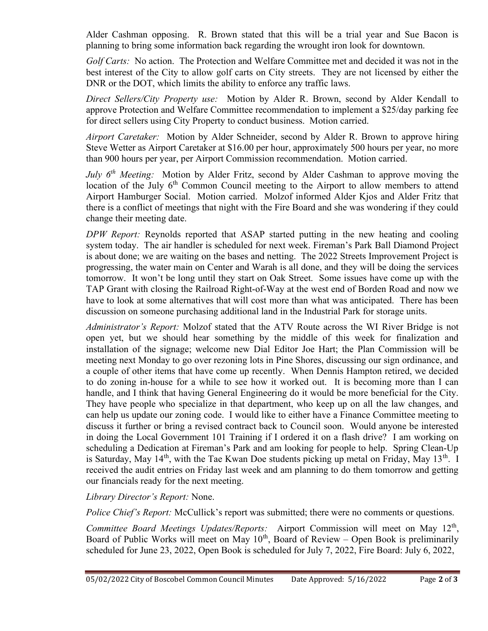Alder Cashman opposing. R. Brown stated that this will be a trial year and Sue Bacon is planning to bring some information back regarding the wrought iron look for downtown.

Golf Carts: No action. The Protection and Welfare Committee met and decided it was not in the best interest of the City to allow golf carts on City streets. They are not licensed by either the DNR or the DOT, which limits the ability to enforce any traffic laws.

Direct Sellers/City Property use: Motion by Alder R. Brown, second by Alder Kendall to approve Protection and Welfare Committee recommendation to implement a \$25/day parking fee for direct sellers using City Property to conduct business. Motion carried.

Airport Caretaker: Motion by Alder Schneider, second by Alder R. Brown to approve hiring Steve Wetter as Airport Caretaker at \$16.00 per hour, approximately 500 hours per year, no more than 900 hours per year, per Airport Commission recommendation. Motion carried.

July  $6<sup>th</sup> Meeting$ : Motion by Alder Fritz, second by Alder Cashman to approve moving the location of the July  $6<sup>th</sup>$  Common Council meeting to the Airport to allow members to attend Airport Hamburger Social. Motion carried. Molzof informed Alder Kjos and Alder Fritz that there is a conflict of meetings that night with the Fire Board and she was wondering if they could change their meeting date.

DPW Report: Reynolds reported that ASAP started putting in the new heating and cooling system today. The air handler is scheduled for next week. Fireman's Park Ball Diamond Project is about done; we are waiting on the bases and netting. The 2022 Streets Improvement Project is progressing, the water main on Center and Warah is all done, and they will be doing the services tomorrow. It won't be long until they start on Oak Street. Some issues have come up with the TAP Grant with closing the Railroad Right-of-Way at the west end of Borden Road and now we have to look at some alternatives that will cost more than what was anticipated. There has been discussion on someone purchasing additional land in the Industrial Park for storage units.

Administrator's Report: Molzof stated that the ATV Route across the WI River Bridge is not open yet, but we should hear something by the middle of this week for finalization and installation of the signage; welcome new Dial Editor Joe Hart; the Plan Commission will be meeting next Monday to go over rezoning lots in Pine Shores, discussing our sign ordinance, and a couple of other items that have come up recently. When Dennis Hampton retired, we decided to do zoning in-house for a while to see how it worked out. It is becoming more than I can handle, and I think that having General Engineering do it would be more beneficial for the City. They have people who specialize in that department, who keep up on all the law changes, and can help us update our zoning code. I would like to either have a Finance Committee meeting to discuss it further or bring a revised contract back to Council soon. Would anyone be interested in doing the Local Government 101 Training if I ordered it on a flash drive? I am working on scheduling a Dedication at Fireman's Park and am looking for people to help. Spring Clean-Up is Saturday, May  $14<sup>th</sup>$ , with the Tae Kwan Doe students picking up metal on Friday, May  $13<sup>th</sup>$ . I received the audit entries on Friday last week and am planning to do them tomorrow and getting our financials ready for the next meeting.

## Library Director's Report: None.

Police Chief's Report: McCullick's report was submitted; there were no comments or questions.

Committee Board Meetings Updates/Reports: Airport Commission will meet on May  $12<sup>th</sup>$ , Board of Public Works will meet on May  $10<sup>th</sup>$ , Board of Review – Open Book is preliminarily scheduled for June 23, 2022, Open Book is scheduled for July 7, 2022, Fire Board: July 6, 2022,